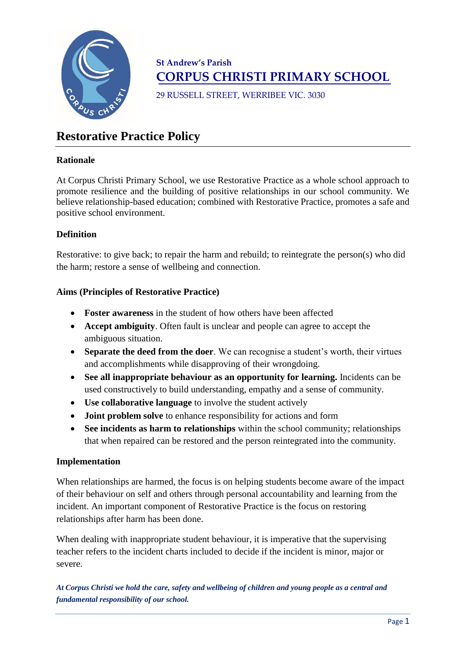

# **St Andrew's Parish CORPUS CHRISTI PRIMARY SCHOOL**

29 RUSSELL STREET, WERRIBEE VIC. 3030

# **Restorative Practice Policy**

# **Rationale**

At Corpus Christi Primary School, we use Restorative Practice as a whole school approach to promote resilience and the building of positive relationships in our school community. We believe relationship-based education; combined with Restorative Practice, promotes a safe and positive school environment.

# **Definition**

Restorative: to give back; to repair the harm and rebuild; to reintegrate the person(s) who did the harm; restore a sense of wellbeing and connection.

# **Aims (Principles of Restorative Practice)**

- **Foster awareness** in the student of how others have been affected
- **Accept ambiguity**. Often fault is unclear and people can agree to accept the ambiguous situation.
- **Separate the deed from the doer**. We can recognise a student's worth, their virtues and accomplishments while disapproving of their wrongdoing.
- See all inappropriate behaviour as an opportunity for learning. Incidents can be used constructively to build understanding, empathy and a sense of community.
- **Use collaborative language** to involve the student actively
- **Joint problem solve** to enhance responsibility for actions and form
- **See incidents as harm to relationships** within the school community; relationships that when repaired can be restored and the person reintegrated into the community.

# **Implementation**

When relationships are harmed, the focus is on helping students become aware of the impact of their behaviour on self and others through personal accountability and learning from the incident. An important component of Restorative Practice is the focus on restoring relationships after harm has been done.

When dealing with inappropriate student behaviour, it is imperative that the supervising teacher refers to the incident charts included to decide if the incident is minor, major or severe.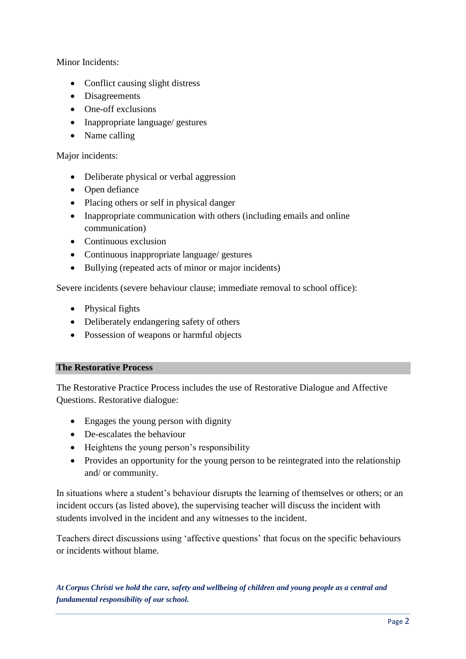Minor Incidents:

- Conflict causing slight distress
- Disagreements
- One-off exclusions
- Inappropriate language/ gestures
- Name calling

# Major incidents:

- Deliberate physical or verbal aggression
- Open defiance
- Placing others or self in physical danger
- Inappropriate communication with others (including emails and online communication)
- Continuous exclusion
- Continuous inappropriate language/ gestures
- Bullying (repeated acts of minor or major incidents)

Severe incidents (severe behaviour clause; immediate removal to school office):

- Physical fights
- Deliberately endangering safety of others
- Possession of weapons or harmful objects

# **The Restorative Process**

The Restorative Practice Process includes the use of Restorative Dialogue and Affective Questions. Restorative dialogue:

- Engages the young person with dignity
- De-escalates the behaviour
- Heightens the young person's responsibility
- Provides an opportunity for the young person to be reintegrated into the relationship and/ or community.

In situations where a student's behaviour disrupts the learning of themselves or others; or an incident occurs (as listed above), the supervising teacher will discuss the incident with students involved in the incident and any witnesses to the incident.

Teachers direct discussions using 'affective questions' that focus on the specific behaviours or incidents without blame.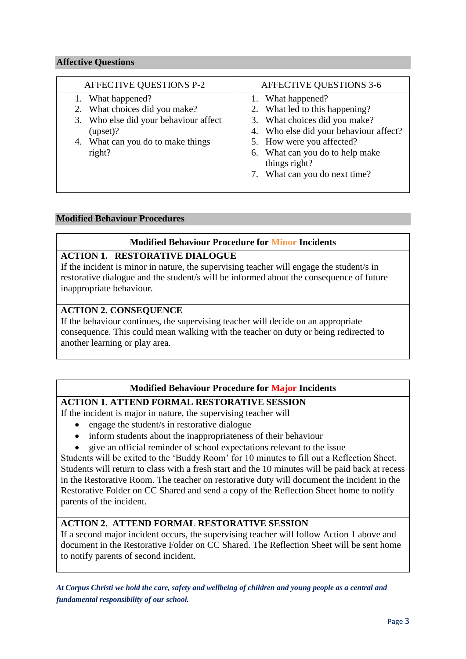## **Affective Questions**

| AFFECTIVE QUESTIONS P-2                                                                                                                                | AFFECTIVE QUESTIONS 3-6                                                                                                                                                                        |
|--------------------------------------------------------------------------------------------------------------------------------------------------------|------------------------------------------------------------------------------------------------------------------------------------------------------------------------------------------------|
| 1. What happened?<br>2. What choices did you make?<br>3. Who else did your behaviour affect<br>(upset)?<br>4. What can you do to make things<br>right? | 1. What happened?<br>2. What led to this happening?<br>3. What choices did you make?<br>4. Who else did your behaviour affect?<br>5. How were you affected?<br>6. What can you do to help make |
|                                                                                                                                                        | things right?<br>7. What can you do next time?                                                                                                                                                 |

# **Modified Behaviour Procedures**

## **Modified Behaviour Procedure for Minor Incidents**

## **ACTION 1. RESTORATIVE DIALOGUE**

If the incident is minor in nature, the supervising teacher will engage the student/s in restorative dialogue and the student/s will be informed about the consequence of future inappropriate behaviour.

## **ACTION 2. CONSEQUENCE**

If the behaviour continues, the supervising teacher will decide on an appropriate consequence. This could mean walking with the teacher on duty or being redirected to another learning or play area.

# **Modified Behaviour Procedure for Major Incidents**

# **ACTION 1. ATTEND FORMAL RESTORATIVE SESSION**

If the incident is major in nature, the supervising teacher will

- engage the student/s in restorative dialogue
- inform students about the inappropriateness of their behaviour
- give an official reminder of school expectations relevant to the issue

Students will be exited to the 'Buddy Room' for 10 minutes to fill out a Reflection Sheet. Students will return to class with a fresh start and the 10 minutes will be paid back at recess in the Restorative Room. The teacher on restorative duty will document the incident in the Restorative Folder on CC Shared and send a copy of the Reflection Sheet home to notify parents of the incident.

# **ACTION 2. ATTEND FORMAL RESTORATIVE SESSION**

If a second major incident occurs, the supervising teacher will follow Action 1 above and document in the Restorative Folder on CC Shared. The Reflection Sheet will be sent home to notify parents of second incident.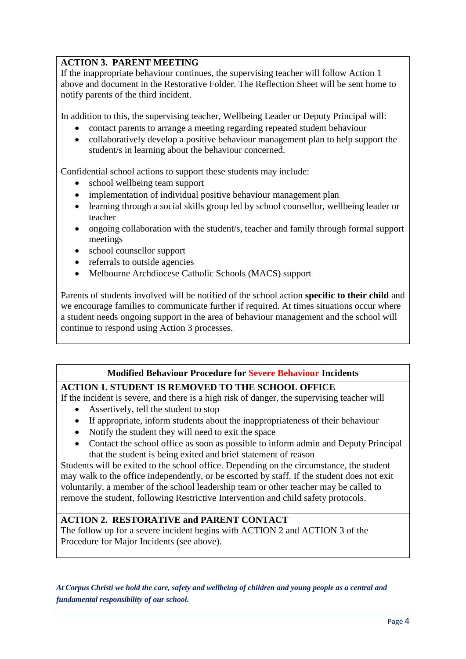# **ACTION 3. PARENT MEETING**

If the inappropriate behaviour continues, the supervising teacher will follow Action 1 above and document in the Restorative Folder. The Reflection Sheet will be sent home to notify parents of the third incident.

In addition to this, the supervising teacher, Wellbeing Leader or Deputy Principal will:

- contact parents to arrange a meeting regarding repeated student behaviour
- collaboratively develop a positive behaviour management plan to help support the student/s in learning about the behaviour concerned.

Confidential school actions to support these students may include:

- school wellbeing team support
- implementation of individual positive behaviour management plan
- learning through a social skills group led by school counsellor, wellbeing leader or teacher
- ongoing collaboration with the student/s, teacher and family through formal support meetings
- school counsellor support
- referrals to outside agencies
- Melbourne Archdiocese Catholic Schools (MACS) support

Parents of students involved will be notified of the school action **specific to their child** and we encourage families to communicate further if required. At times situations occur where a student needs ongoing support in the area of behaviour management and the school will continue to respond using Action 3 processes.

# **Modified Behaviour Procedure for Severe Behaviour Incidents**

# **ACTION 1. STUDENT IS REMOVED TO THE SCHOOL OFFICE**

If the incident is severe, and there is a high risk of danger, the supervising teacher will

- Assertively, tell the student to stop
- If appropriate, inform students about the inappropriateness of their behaviour
- Notify the student they will need to exit the space
- Contact the school office as soon as possible to inform admin and Deputy Principal that the student is being exited and brief statement of reason

Students will be exited to the school office. Depending on the circumstance, the student may walk to the office independently, or be escorted by staff. If the student does not exit voluntarily, a member of the school leadership team or other teacher may be called to remove the student, following Restrictive Intervention and child safety protocols.

# **ACTION 2. RESTORATIVE and PARENT CONTACT**

The follow up for a severe incident begins with ACTION 2 and ACTION 3 of the Procedure for Major Incidents (see above).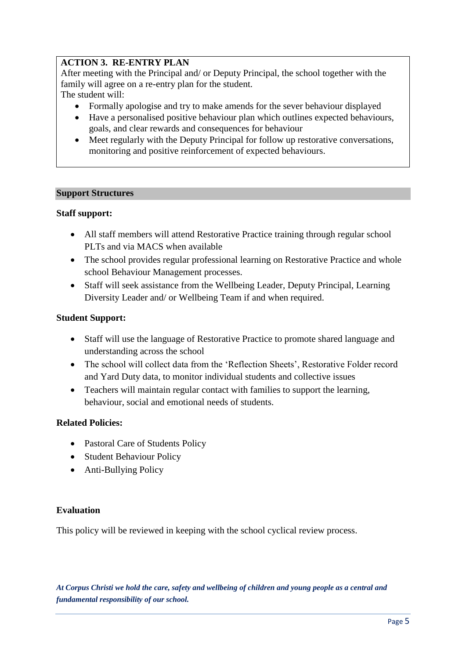# **ACTION 3. RE-ENTRY PLAN**

After meeting with the Principal and/ or Deputy Principal, the school together with the family will agree on a re-entry plan for the student.

The student will:

- Formally apologise and try to make amends for the sever behaviour displayed
- Have a personalised positive behaviour plan which outlines expected behaviours, goals, and clear rewards and consequences for behaviour
- Meet regularly with the Deputy Principal for follow up restorative conversations, monitoring and positive reinforcement of expected behaviours.

## **Support Structures**

## **Staff support:**

- All staff members will attend Restorative Practice training through regular school PLTs and via MACS when available
- The school provides regular professional learning on Restorative Practice and whole school Behaviour Management processes.
- Staff will seek assistance from the Wellbeing Leader, Deputy Principal, Learning Diversity Leader and/ or Wellbeing Team if and when required.

## **Student Support:**

- Staff will use the language of Restorative Practice to promote shared language and understanding across the school
- The school will collect data from the 'Reflection Sheets', Restorative Folder record and Yard Duty data, to monitor individual students and collective issues
- Teachers will maintain regular contact with families to support the learning, behaviour, social and emotional needs of students.

# **Related Policies:**

- Pastoral Care of Students Policy
- Student Behaviour Policy
- Anti-Bullying Policy

# **Evaluation**

This policy will be reviewed in keeping with the school cyclical review process.